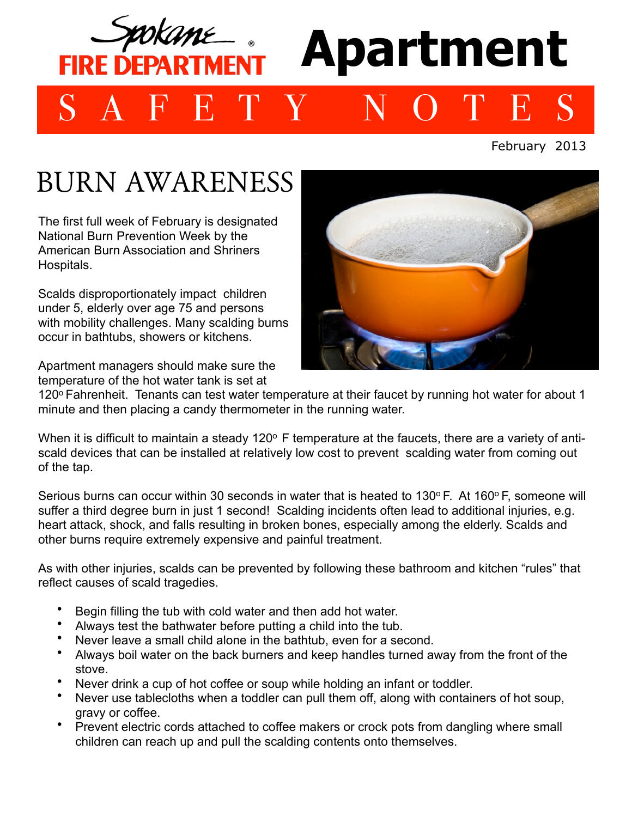# **Apartment FIRE DEPARTMEN** SAFETY NOTES

#### February 2013

## BURN AWARENESS

The first full week of February is designated National Burn Prevention Week by the American Burn Association and Shriners Hospitals.

Scalds disproportionately impact children under 5, elderly over age 75 and persons with mobility challenges. Many scalding burns occur in bathtubs, showers or kitchens.

Apartment managers should make sure the temperature of the hot water tank is set at



120° Fahrenheit. Tenants can test water temperature at their faucet by running hot water for about 1 minute and then placing a candy thermometer in the running water.

When it is difficult to maintain a steady 120° F temperature at the faucets, there are a variety of antiscald devices that can be installed at relatively low cost to prevent scalding water from coming out of the tap.

Serious burns can occur within 30 seconds in water that is heated to  $130^{\circ}$  F. At  $160^{\circ}$  F, someone will suffer a third degree burn in just 1 second! Scalding incidents often lead to additional injuries, e.g. heart attack, shock, and falls resulting in broken bones, especially among the elderly. Scalds and other burns require extremely expensive and painful treatment.

As with other injuries, scalds can be prevented by following these bathroom and kitchen "rules" that reflect causes of scald tragedies.

- Begin filling the tub with cold water and then add hot water.
- Always test the bathwater before putting a child into the tub.
- Never leave a small child alone in the bathtub, even for a second.
- Always boil water on the back burners and keep handles turned away from the front of the stove.
- Never drink a cup of hot coffee or soup while holding an infant or toddler.
- Never use tablecloths when a toddler can pull them off, along with containers of hot soup, gravy or coffee.
- Prevent electric cords attached to coffee makers or crock pots from dangling where small children can reach up and pull the scalding contents onto themselves.